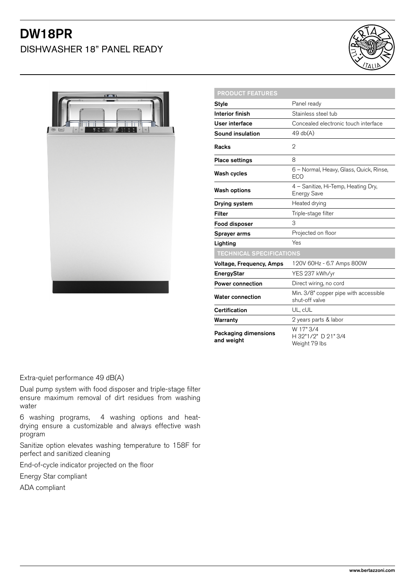# DW18PR

DISHWASHER 18" PANEL READY





| <b>PRODUCT FEATURES</b>            |                                                           |
|------------------------------------|-----------------------------------------------------------|
| <b>Style</b>                       | Panel ready                                               |
| <b>Interior finish</b>             | Stainless steel tub                                       |
| User interface                     | Concealed electronic touch interface                      |
| Sound insulation                   | 49 db(A)                                                  |
| Racks                              | 2                                                         |
| <b>Place settings</b>              | 8                                                         |
| Wash cycles                        | 6 - Normal, Heavy, Glass, Quick, Rinse,<br><b>ECO</b>     |
| <b>Wash options</b>                | 4 - Sanitize, Hi-Temp, Heating Dry,<br><b>Energy Save</b> |
| Drying system                      | Heated drying                                             |
| <b>Filter</b>                      | Triple-stage filter                                       |
| Food disposer                      | 3                                                         |
| Sprayer arms                       | Projected on floor                                        |
| Lighting                           | Yes                                                       |
| <b>TECHNICAL SPECIFICATIONS</b>    |                                                           |
| <b>Voltage, Frequency, Amps</b>    | 120V 60Hz - 6.7 Amps 800W                                 |
| EnergyStar                         | YES 237 kWh/yr                                            |
| <b>Power connection</b>            | Direct wiring, no cord                                    |
| <b>Water connection</b>            | Min. 3/8" copper pipe with accessible<br>shut-off valve   |
| <b>Certification</b>               | UL, cUL                                                   |
| Warranty                           | 2 years parts & labor                                     |
| Packaging dimensions<br>and weight | W 17" 3/4<br>H 32"1/2" D 21" 3/4<br>Weight 79 lbs         |

Extra-quiet performance 49 dB(A)

Dual pump system with food disposer and triple-stage filter ensure maximum removal of dirt residues from washing water

6 washing programs, 4 washing options and heatdrying ensure a customizable and always effective wash program

Sanitize option elevates washing temperature to 158F for perfect and sanitized cleaning

End-of-cycle indicator projected on the floor

Energy Star compliant

ADA compliant